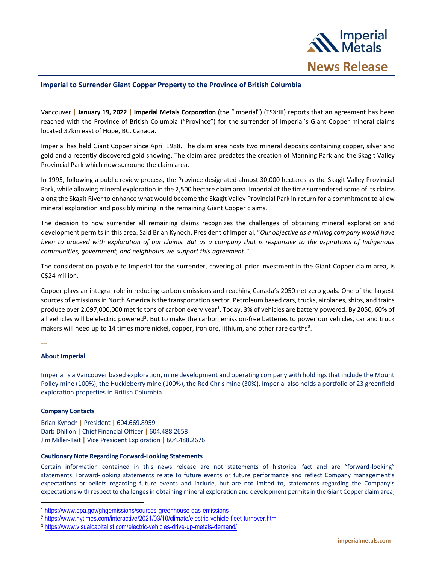

## **Imperial to Surrender Giant Copper Property to the Province of British Columbia**

Vancouver **| January 19, 2022 | Imperial Metals Corporation** (the "Imperial") (TSX:III) reports that an agreement has been reached with the Province of British Columbia ("Province") for the surrender of Imperial's Giant Copper mineral claims located 37km east of Hope, BC, Canada.

Imperial has held Giant Copper since April 1988. The claim area hosts two mineral deposits containing copper, silver and gold and a recently discovered gold showing. The claim area predates the creation of Manning Park and the Skagit Valley Provincial Park which now surround the claim area.

In 1995, following a public review process, the Province designated almost 30,000 hectares as the Skagit Valley Provincial Park, while allowing mineral exploration in the 2,500 hectare claim area. Imperial at the time surrendered some of its claims along the Skagit River to enhance what would become the Skagit Valley Provincial Park in return for a commitment to allow mineral exploration and possibly mining in the remaining Giant Copper claims.

The decision to now surrender all remaining claims recognizes the challenges of obtaining mineral exploration and development permits in this area. Said Brian Kynoch, President of Imperial, "*Our objective as a mining company would have been to proceed with exploration of our claims. But as a company that is responsive to the aspirations of Indigenous communities, government, and neighbours we support this agreement."*

The consideration payable to Imperial for the surrender, covering all prior investment in the Giant Copper claim area, is C\$24 million.

Copper plays an integral role in reducing carbon emissions and reaching Canada's 2050 net zero goals. One of the largest sources of emissions in North America is the transportation sector. Petroleum based cars, trucks, airplanes, ships, and trains produce over 2,097,000,000 metric tons of carbon every year<sup>1</sup>. Today, 3% of vehicles are battery powered. By 2050, 60% of all vehicles will be electric powered<sup>2</sup>. But to make the carbon emission-free batteries to power our vehicles, car and truck makers will need up to 14 times more nickel, copper, iron ore, lithium, and other rare earths<sup>3</sup>.

**---**

## **About Imperial**

Imperial is a Vancouver based exploration, mine development and operating company with holdings that include the Mount Polley mine (100%), the Huckleberry mine (100%), the Red Chris mine (30%). Imperial also holds a portfolio of 23 greenfield exploration properties in British Columbia.

## **Company Contacts**

Brian Kynoch **|** President **|** 604.669.8959 Darb Dhillon **|** Chief Financial Officer **|** 604.488.2658 Jim Miller-Tait **|** Vice President Exploration **|** 604.488.2676

## **Cautionary Note Regarding Forward-Looking Statements**

Certain information contained in this news release are not statements of historical fact and are "forward-looking" statements. Forward-looking statements relate to future events or future performance and reflect Company management's expectations or beliefs regarding future events and include, but are not limited to, statements regarding the Company's expectations with respect to challenges in obtaining mineral exploration and development permits in the Giant Copper claim area;

<sup>1</sup> <https://www.epa.gov/ghgemissions/sources-greenhouse-gas-emissions>

<sup>2</sup> <https://www.nytimes.com/interactive/2021/03/10/climate/electric-vehicle-fleet-turnover.html>

<sup>3</sup> <https://www.visualcapitalist.com/electric-vehicles-drive-up-metals-demand/>